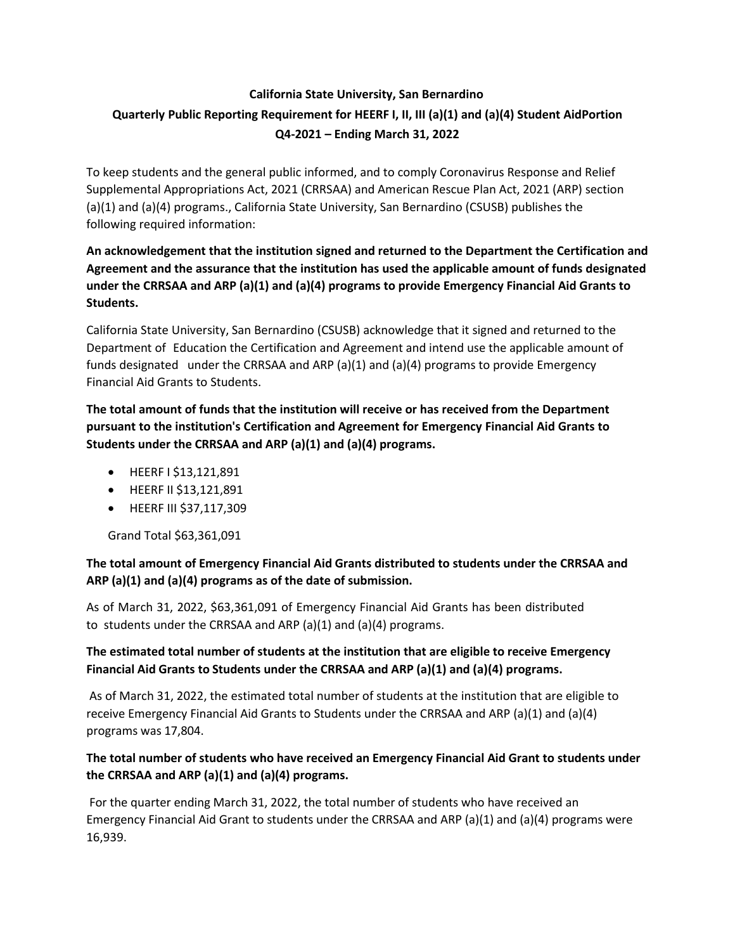# **California State University, San Bernardino Quarterly Public Reporting Requirement for HEERF I, II, III (a)(1) and (a)(4) Student AidPortion Q4-2021 – Ending March 31, 2022**

To keep students and the general public informed, and to comply Coronavirus Response and Relief Supplemental Appropriations Act, 2021 (CRRSAA) and American Rescue Plan Act, 2021 (ARP) section (a)(1) and (a)(4) programs., California State University, San Bernardino (CSUSB) publishes the following required information:

## **An acknowledgement that the institution signed and returned to the Department the Certification and Agreement and the assurance that the institution has used the applicable amount of funds designated under the CRRSAA and ARP (a)(1) and (a)(4) programs to provide Emergency Financial Aid Grants to Students.**

California State University, San Bernardino (CSUSB) acknowledge that it signed and returned to the Department of Education the Certification and Agreement and intend use the applicable amount of funds designated under the CRRSAA and ARP (a)(1) and (a)(4) programs to provide Emergency Financial Aid Grants to Students.

**The total amount of funds that the institution will receive or has received from the Department pursuant to the institution's Certification and Agreement for Emergency Financial Aid Grants to Students under the CRRSAA and ARP (a)(1) and (a)(4) programs.**

- HEERF I \$13,121,891
- HEERF II \$13,121,891
- HEERF III \$37,117,309

Grand Total \$63,361,091

## **The total amount of Emergency Financial Aid Grants distributed to students under the CRRSAA and ARP (a)(1) and (a)(4) programs as of the date of submission.**

As of March 31, 2022, \$63,361,091 of Emergency Financial Aid Grants has been distributed to students under the CRRSAA and ARP (a)(1) and (a)(4) programs.

## **The estimated total number of students at the institution that are eligible to receive Emergency Financial Aid Grants to Students under the CRRSAA and ARP (a)(1) and (a)(4) programs.**

As of March 31, 2022, the estimated total number of students at the institution that are eligible to receive Emergency Financial Aid Grants to Students under the CRRSAA and ARP (a)(1) and (a)(4) programs was 17,804.

## **The total number of students who have received an Emergency Financial Aid Grant to students under the CRRSAA and ARP (a)(1) and (a)(4) programs.**

For the quarter ending March 31, 2022, the total number of students who have received an Emergency Financial Aid Grant to students under the CRRSAA and ARP (a)(1) and (a)(4) programs were 16,939.